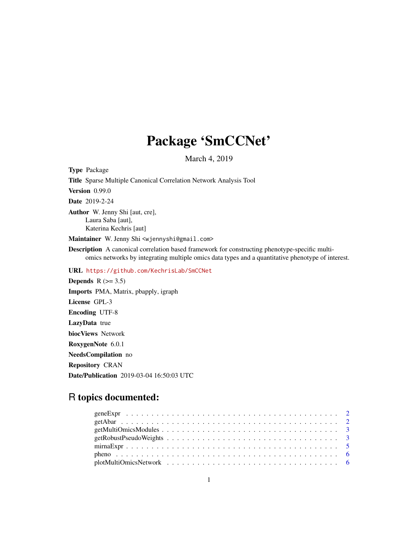## Package 'SmCCNet'

March 4, 2019

Type Package Title Sparse Multiple Canonical Correlation Network Analysis Tool Version 0.99.0 Date 2019-2-24 Author W. Jenny Shi [aut, cre], Laura Saba [aut], Katerina Kechris [aut] Maintainer W. Jenny Shi <wjennyshi@gmail.com> Description A canonical correlation based framework for constructing phenotype-specific multiomics networks by integrating multiple omics data types and a quantitative phenotype of interest. URL <https://github.com/KechrisLab/SmCCNet> Depends  $R$  ( $>= 3.5$ ) Imports PMA, Matrix, pbapply, igraph License GPL-3 Encoding UTF-8 LazyData true biocViews Network RoxygenNote 6.0.1 NeedsCompilation no Repository CRAN Date/Publication 2019-03-04 16:50:03 UTC

### R topics documented: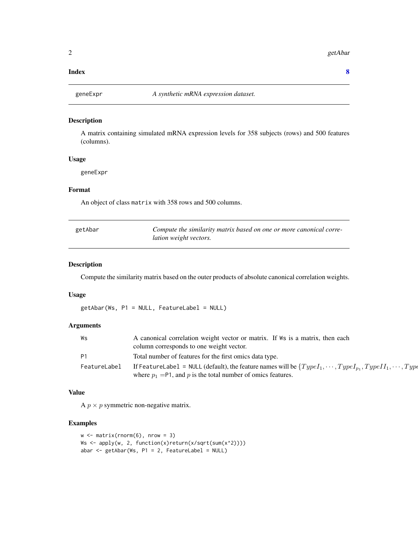#### <span id="page-1-0"></span>**Index** [8](#page-7-0) **8**

#### Description

A matrix containing simulated mRNA expression levels for 358 subjects (rows) and 500 features (columns).

#### Usage

geneExpr

#### Format

An object of class matrix with 358 rows and 500 columns.

| getAbar | Compute the similarity matrix based on one or more canonical corre- |
|---------|---------------------------------------------------------------------|
|         | <i>lation weight vectors.</i>                                       |

#### Description

Compute the similarity matrix based on the outer products of absolute canonical correlation weights.

#### Usage

getAbar(Ws, P1 = NULL, FeatureLabel = NULL)

#### Arguments

| Ws           | A canonical correlation weight vector or matrix. If Ws is a matrix, then each<br>column corresponds to one weight vector.                                                                    |
|--------------|----------------------------------------------------------------------------------------------------------------------------------------------------------------------------------------------|
| <b>P1</b>    | Total number of features for the first omics data type.                                                                                                                                      |
| FeatureLabel | If FeatureLabel = NULL (default), the feature names will be $\{TypeI_1, \dots, TypeI_{p_1}, TypeII_1, \dots, TypeI_{p_n}\}$<br>where $p_1$ =P1, and p is the total number of omics features. |

#### Value

A  $p \times p$  symmetric non-negative matrix.

#### Examples

```
w <- matrix(rnorm(6), nrow = 3)
Ws <- apply(w, 2, function(x)return(x/sqrt(sum(x^2))))
abar \leq getAbar(Ws, P1 = 2, FeatureLabel = NULL)
```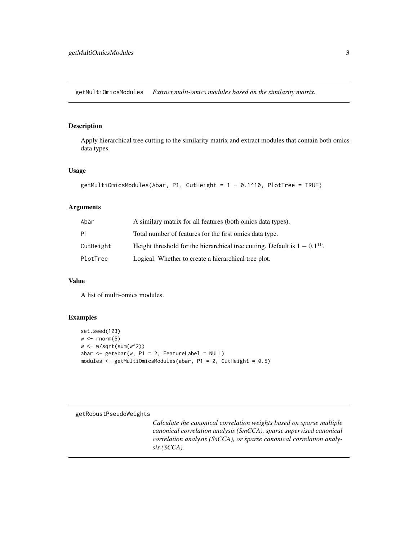<span id="page-2-0"></span>getMultiOmicsModules *Extract multi-omics modules based on the similarity matrix.*

#### Description

Apply hierarchical tree cutting to the similarity matrix and extract modules that contain both omics data types.

#### Usage

```
getMultiOmicsModules(Abar, P1, CutHeight = 1 - 0.1^10, PlotTree = TRUE)
```
#### Arguments

| Abar           | A similary matrix for all features (both omics data types).                     |
|----------------|---------------------------------------------------------------------------------|
| P <sub>1</sub> | Total number of features for the first omics data type.                         |
| CutHeight      | Height threshold for the hierarchical tree cutting. Default is $1 - 0.1^{10}$ . |
| PlotTree       | Logical. Whether to create a hierarchical tree plot.                            |

#### Value

A list of multi-omics modules.

#### Examples

```
set.seed(123)
w \leftarrow \text{norm}(5)w < -w/sqrt(sum(w^2))abar \leq getAbar(w, P1 = 2, FeatureLabel = NULL)
modules <- getMultiOmicsModules(abar, P1 = 2, CutHeight = 0.5)
```
#### getRobustPseudoWeights

*Calculate the canonical correlation weights based on sparse multiple canonical correlation analysis (SmCCA), sparse supervised canonical correlation analysis (SsCCA), or sparse canonical correlation analysis (SCCA).*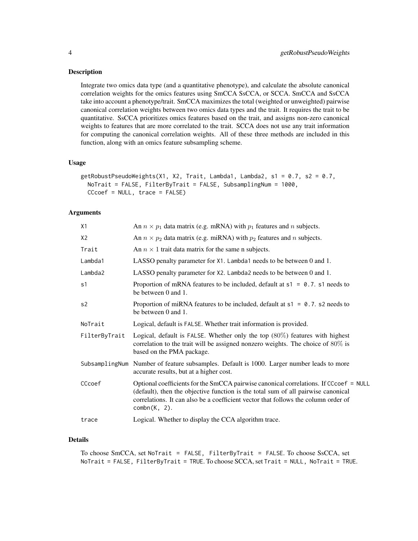#### Description

Integrate two omics data type (and a quantitative phenotype), and calculate the absolute canonical correlation weights for the omics features using SmCCA SsCCA, or SCCA. SmCCA and SsCCA take into account a phenotype/trait. SmCCA maximizes the total (weighted or unweighted) pairwise canonical correlation weights between two omics data types and the trait. It requires the trait to be quantitative. SsCCA prioritizes omics features based on the trait, and assigns non-zero canonical weights to features that are more correlated to the trait. SCCA does not use any trait information for computing the canonical correlation weights. All of these three methods are included in this function, along with an omics feature subsampling scheme.

#### Usage

```
getRobustPseudoWeights(X1, X2, Trait, Lambda1, Lambda2, s1 = 0.7, s2 = 0.7,
 NoTrait = FALSE, FilterByTrait = FALSE, SubsamplingNum = 1000,
 CCcoef = NULL, trace = FALSE)
```
#### **Arguments**

| X1             | An $n \times p_1$ data matrix (e.g. mRNA) with $p_1$ features and n subjects.                                                                                                                                                                                                       |
|----------------|-------------------------------------------------------------------------------------------------------------------------------------------------------------------------------------------------------------------------------------------------------------------------------------|
| X <sub>2</sub> | An $n \times p_2$ data matrix (e.g. miRNA) with $p_2$ features and n subjects.                                                                                                                                                                                                      |
| Trait          | An $n \times 1$ trait data matrix for the same n subjects.                                                                                                                                                                                                                          |
| Lambda1        | LASSO penalty parameter for X1. Lambda1 needs to be between 0 and 1.                                                                                                                                                                                                                |
| Lambda2        | LASSO penalty parameter for X2. Lambda2 needs to be between 0 and 1.                                                                                                                                                                                                                |
| s1             | Proportion of mRNA features to be included, default at $s1 = 0.7$ . s1 needs to<br>be between 0 and 1.                                                                                                                                                                              |
| s2             | Proportion of miRNA features to be included, default at $s1 = 0.7$ . s2 needs to<br>be between 0 and 1.                                                                                                                                                                             |
| NoTrait        | Logical, default is FALSE. Whether trait information is provided.                                                                                                                                                                                                                   |
| FilterByTrait  | Logical, default is FALSE. Whether only the top $(80\%)$ features with highest<br>correlation to the trait will be assigned nonzero weights. The choice of $80\%$ is<br>based on the PMA package.                                                                                   |
|                | SubsamplingNum Number of feature subsamples. Default is 1000. Larger number leads to more<br>accurate results, but at a higher cost.                                                                                                                                                |
| CCcoef         | Optional coefficients for the SmCCA pairwise canonical correlations. If CCcoef = NULL<br>(default), then the objective function is the total sum of all pairwise canonical<br>correlations. It can also be a coefficient vector that follows the column order of<br>$combn(K, 2)$ . |
| trace          | Logical. Whether to display the CCA algorithm trace.                                                                                                                                                                                                                                |

#### Details

```
To choose SmCCA, set NoTrait = FALSE, FilterByTrait = FALSE. To choose SsCCA, set
NoTrait = FALSE, FilterByTrait = TRUE. To choose SCCA, set Trait = NULL, NoTrait = TRUE.
```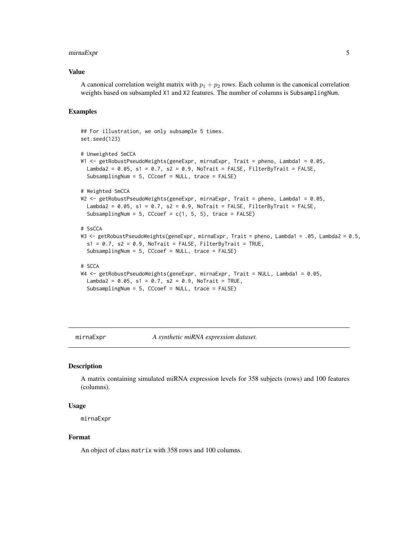#### <span id="page-4-0"></span>mirnaExpr 5

#### Value

A canonical correlation weight matrix with  $p_1 + p_2$  rows. Each column is the canonical correlation weights based on subsampled X1 and X2 features. The number of columns is SubsamplingNum.

#### Examples

```
## For illustration, we only subsample 5 times.
set.seed(123)
# Unweighted SmCCA
W1 <- getRobustPseudoWeights(geneExpr, mirnaExpr, Trait = pheno, Lambda1 = 0.05,
 Lambda2 = 0.05, s1 = 0.7, s2 = 0.9, NoTrait = FALSE, FilterByTrait = FALSE,
 SubsamplingNum = 5, CCcoef = NULL, trace = FALSE)
# Weighted SmCCA
W2 <- getRobustPseudoWeights(geneExpr, mirnaExpr, Trait = pheno, Lambda1 = 0.05,
 Lambda2 = 0.05, s1 = 0.7, s2 = 0.9, NoTrait = FALSE, FilterByTrait = FALSE,
 SubsamplingNum = 5, CCcoef = c(1, 5, 5), trace = FALSE)
# SsCCA
W3 <- getRobustPseudoWeights(geneExpr, mirnaExpr, Trait = pheno, Lambda1 = .05, Lambda2 = 0.5,
 s1 = 0.7, s2 = 0.9, NoTrait = FALSE, FilterByTrait = TRUE,
 SubsamplingNum = 5, CCcoef = NULL, trace = FALSE)
# SCCA
W4 <- getRobustPseudoWeights(geneExpr, mirnaExpr, Trait = NULL, Lambda1 = 0.05,
 Lambda2 = 0.05, s1 = 0.7, s2 = 0.9, NoTrait = TRUE,
 SubsamplingNum = 5, CCcoef = NULL, trace = FALSE)
```
mirnaExpr *A synthetic miRNA expression dataset.*

#### Description

A matrix containing simulated miRNA expression levels for 358 subjects (rows) and 100 features (columns).

#### Usage

mirnaExpr

#### Format

An object of class matrix with 358 rows and 100 columns.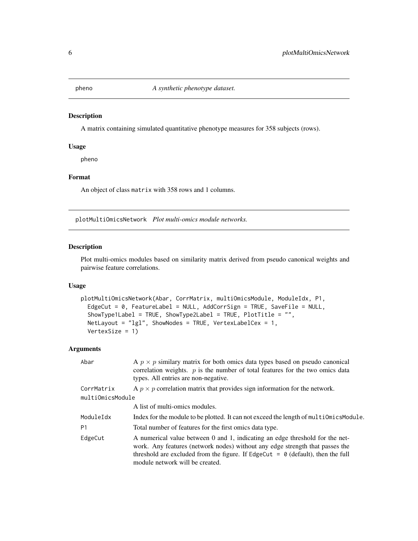<span id="page-5-0"></span>

#### Description

A matrix containing simulated quantitative phenotype measures for 358 subjects (rows).

#### Usage

pheno

#### Format

An object of class matrix with 358 rows and 1 columns.

plotMultiOmicsNetwork *Plot multi-omics module networks.*

#### Description

Plot multi-omics modules based on similarity matrix derived from pseudo canonical weights and pairwise feature correlations.

#### Usage

```
plotMultiOmicsNetwork(Abar, CorrMatrix, multiOmicsModule, ModuleIdx, P1,
 EdgeCut = 0, FeatureLabel = NULL, AddCorrSign = TRUE, SaveFile = NULL,
  ShowType1Label = TRUE, ShowType2Label = TRUE, PlotTitle = "",
 NetLayout = "lgl", ShowNodes = TRUE, VertexLabelCex = 1,
 VertexSize = 1)
```
#### Arguments

| Abar             | A $p \times p$ similary matrix for both omics data types based on pseudo canonical<br>correlation weights. $p$ is the number of total features for the two omics data<br>types. All entries are non-negative.                                                                        |
|------------------|--------------------------------------------------------------------------------------------------------------------------------------------------------------------------------------------------------------------------------------------------------------------------------------|
| CorrMatrix       | A $p \times p$ correlation matrix that provides sign information for the network.                                                                                                                                                                                                    |
| multiOmicsModule |                                                                                                                                                                                                                                                                                      |
|                  | A list of multi-omics modules.                                                                                                                                                                                                                                                       |
| ModuleIdx        | Index for the module to be plotted. It can not exceed the length of multiomics Module.                                                                                                                                                                                               |
| P1               | Total number of features for the first omics data type.                                                                                                                                                                                                                              |
| EdgeCut          | A numerical value between 0 and 1, indicating an edge threshold for the net-<br>work. Any features (network nodes) without any edge strength that passes the<br>threshold are excluded from the figure. If $EdgeCut = 0$ (default), then the full<br>module network will be created. |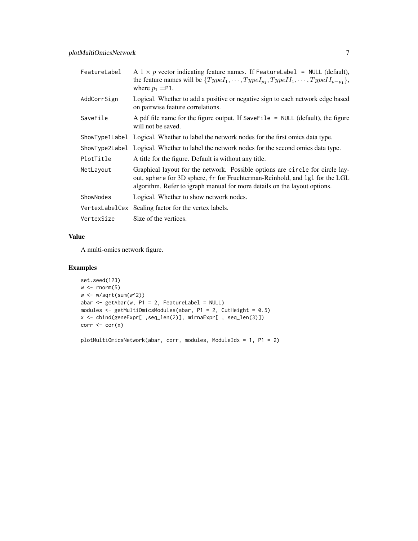| FeatureLabel   | A $1 \times p$ vector indicating feature names. If FeatureLabel = NULL (default),<br>the feature names will be $\{TypeI_1, \cdots, TypeI_{p_1}, TypeII_1, \cdots, TypeII_{p-p_1}\},\$<br>where $p_1 = P1$ .                               |
|----------------|-------------------------------------------------------------------------------------------------------------------------------------------------------------------------------------------------------------------------------------------|
| AddCorrSign    | Logical. Whether to add a positive or negative sign to each network edge based<br>on pairwise feature correlations.                                                                                                                       |
| SaveFile       | A pdf file name for the figure output. If SaveFile $=$ NULL (default), the figure<br>will not be saved.                                                                                                                                   |
|                | ShowType1Label Logical. Whether to label the network nodes for the first omics data type.                                                                                                                                                 |
|                | ShowType2Labe1 Logical. Whether to label the network nodes for the second omics data type.                                                                                                                                                |
| PlotTitle      | A title for the figure. Default is without any title.                                                                                                                                                                                     |
| NetLayout      | Graphical layout for the network. Possible options are circle for circle lay-<br>out, sphere for 3D sphere, fr for Fruchterman-Reinhold, and 1g1 for the LGL<br>algorithm. Refer to igraph manual for more details on the layout options. |
| ShowNodes      | Logical. Whether to show network nodes.                                                                                                                                                                                                   |
| VertexLabelCex | Scaling factor for the vertex labels.                                                                                                                                                                                                     |
| VertexSize     | Size of the vertices.                                                                                                                                                                                                                     |

#### Value

A multi-omics network figure.

#### Examples

```
set.seed(123)
w \leftarrow \text{norm}(5)w <- w/sqrt(sum(w^2))
abar <- getAbar(w, P1 = 2, FeatureLabel = NULL)
modules <- getMultiOmicsModules(abar, P1 = 2, CutHeight = 0.5)
x <- cbind(geneExpr[ ,seq_len(2)], mirnaExpr[ , seq_len(3)])
corr \leftarrow cor(x)
```
plotMultiOmicsNetwork(abar, corr, modules, ModuleIdx = 1, P1 = 2)